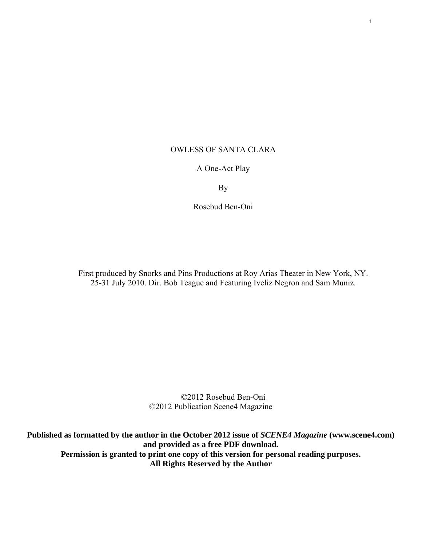## OWLESS OF SANTA CLARA

## A One-Act Play

By

Rosebud Ben-Oni

First produced by Snorks and Pins Productions at Roy Arias Theater in New York, NY. 25-31 July 2010. Dir. Bob Teague and Featuring Iveliz Negron and Sam Muniz.

> ©2012 Rosebud Ben-Oni ©2012 Publication Scene4 Magazine

**Published as formatted by the author in the October 2012 issue of** *SCENE4 Magazine* **(www.scene4.com) and provided as a free PDF download. Permission is granted to print one copy of this version for personal reading purposes. All Rights Reserved by the Author**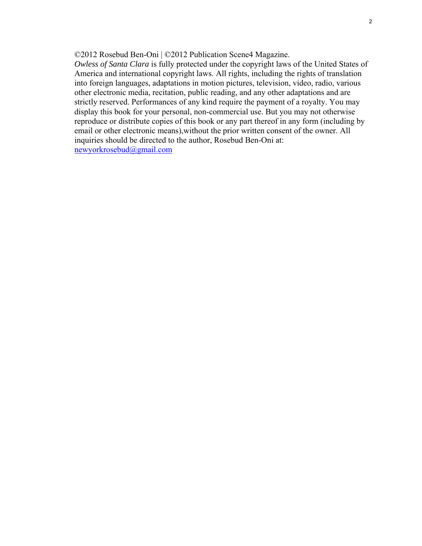©2012 Rosebud Ben-Oni | ©2012 Publication Scene4 Magazine.

*Owless of Santa Clara* is fully protected under the copyright laws of the United States of America and international copyright laws. All rights, including the rights of translation into foreign languages, adaptations in motion pictures, television, video, radio, various other electronic media, recitation, public reading, and any other adaptations and are strictly reserved. Performances of any kind require the payment of a royalty. You may display this book for your personal, non-commercial use. But you may not otherwise reproduce or distribute copies of this book or any part thereof in any form (including by email or other electronic means),without the prior written consent of the owner. All inquiries should be directed to the author, Rosebud Ben-Oni at: [newyorkrosebud@gmail.com](mailto:newyorkrosebud@gmail.com)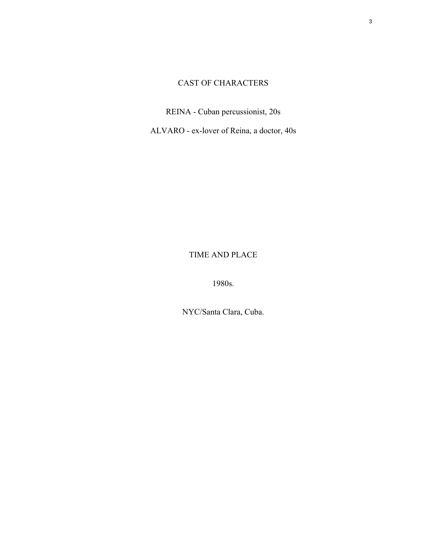# CAST OF CHARACTERS

REINA - Cuban percussionist, 20s

ALVARO - ex-lover of Reina, a doctor, 40s

TIME AND PLACE

1980s.

NYC/Santa Clara, Cuba.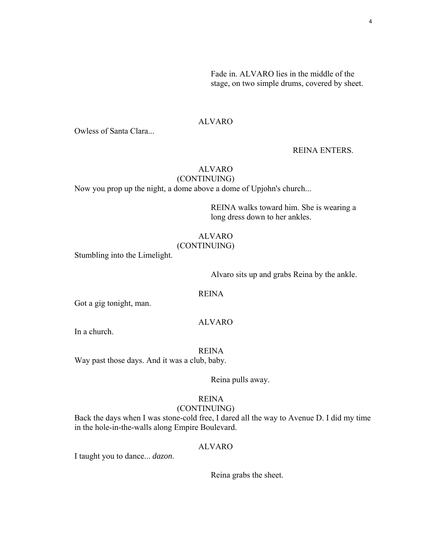Fade in. ALVARO lies in the middle of the stage, on two simple drums, covered by sheet.

## ALVARO

Owless of Santa Clara...

### REINA ENTERS.

# ALVARO

# (CONTINUING)

Now you prop up the night, a dome above a dome of Upjohn's church...

REINA walks toward him. She is wearing a long dress down to her ankles.

## ALVARO

### (CONTINUING)

Stumbling into the Limelight.

Alvaro sits up and grabs Reina by the ankle.

## REINA

Got a gig tonight, man.

## ALVARO

In a church.

REINA Way past those days. And it was a club, baby.

Reina pulls away.

## REINA

## (CONTINUING)

Back the days when I was stone-cold free, I dared all the way to Avenue D. I did my time in the hole-in-the-walls along Empire Boulevard.

### ALVARO

I taught you to dance... *dazon*.

Reina grabs the sheet.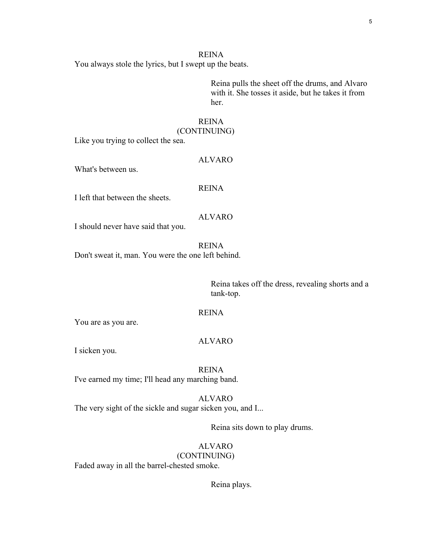You always stole the lyrics, but I swept up the beats.

Reina pulls the sheet off the drums, and Alvaro with it. She tosses it aside, but he takes it from her.

## REINA

## (CONTINUING)

Like you trying to collect the sea.

#### What's between us.

#### REINA

ALVARO

I left that between the sheets.

## ALVARO

I should never have said that you.

REINA

Don't sweat it, man. You were the one left behind.

Reina takes off the dress, revealing shorts and a tank-top.

#### REINA

You are as you are.

## ALVARO

I sicken you.

REINA I've earned my time; I'll head any marching band.

## ALVARO

The very sight of the sickle and sugar sicken you, and I...

Reina sits down to play drums.

### ALVARO (CONTINUING)

Faded away in all the barrel-chested smoke.

Reina plays.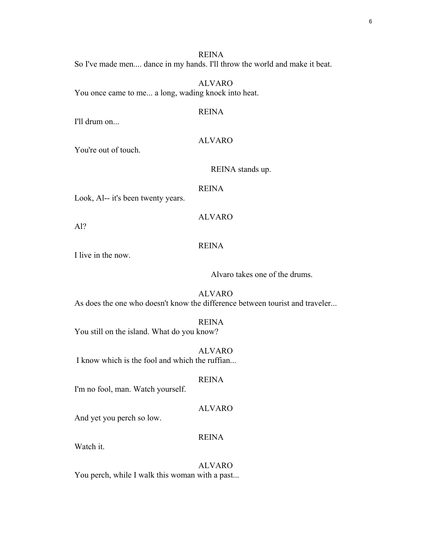REINA So I've made men.... dance in my hands. I'll throw the world and make it beat.

ALVARO You once came to me... a long, wading knock into heat.

I'll drum on...

### ALVARO

REINA

You're out of touch.

REINA stands up.

#### REINA

ALVARO

Look, Al-- it's been twenty years.

Al?

### REINA

I live in the now.

Alvaro takes one of the drums.

ALVARO As does the one who doesn't know the difference between tourist and traveler...

REINA You still on the island. What do you know?

ALVARO

I know which is the fool and which the ruffian...

### REINA

I'm no fool, man. Watch yourself.

### ALVARO

And yet you perch so low.

### REINA

Watch it.

## ALVARO

You perch, while I walk this woman with a past...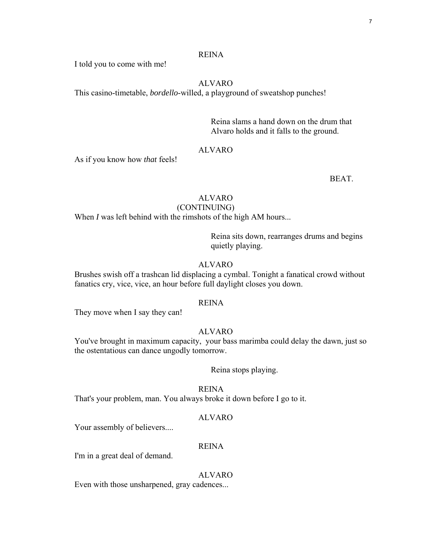I told you to come with me!

## ALVARO

This casino-timetable, *bordello*-willed, a playground of sweatshop punches!

Reina slams a hand down on the drum that Alvaro holds and it falls to the ground.

### ALVARO

As if you know how *that* feels!

**BEAT.** 

## ALVARO

## (CONTINUING)

When *I* was left behind with the rimshots of the high AM hours...

Reina sits down, rearranges drums and begins quietly playing.

### ALVARO

Brushes swish off a trashcan lid displacing a cymbal. Tonight a fanatical crowd without fanatics cry, vice, vice, an hour before full daylight closes you down.

#### REINA

They move when I say they can!

### ALVARO

You've brought in maximum capacity, your bass marimba could delay the dawn, just so the ostentatious can dance ungodly tomorrow.

### Reina stops playing.

REINA

That's your problem, man. You always broke it down before I go to it.

### ALVARO

Your assembly of believers....

### REINA

I'm in a great deal of demand.

### ALVARO

Even with those unsharpened, gray cadences...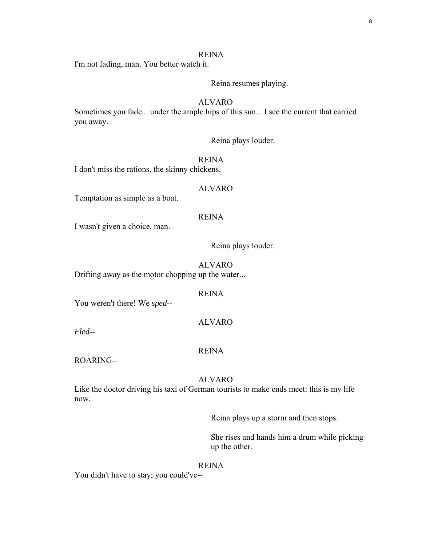I'm not fading, man. You better watch it.

Reina resumes playing.

## ALVARO

Sometimes you fade... under the ample hips of this sun... I see the current that carried you away.

Reina plays louder.

REINA

I don't miss the rations, the skinny chickens.

#### ALVARO

Temptation as simple as a boat.

### REINA

I wasn't given a choice, man.

Reina plays louder.

ALVARO Drifting away as the motor chopping up the water...

#### REINA

You weren't there! We *sped--*

### ALVARO

*Fled*--

#### REINA

ROARING--

### ALVARO

Like the doctor driving his taxi of German tourists to make ends meet: this is my life now.

Reina plays up a storm and then stops.

She rises and hands him a drum while picking up the other.

#### REINA

You didn't have to stay; you could've--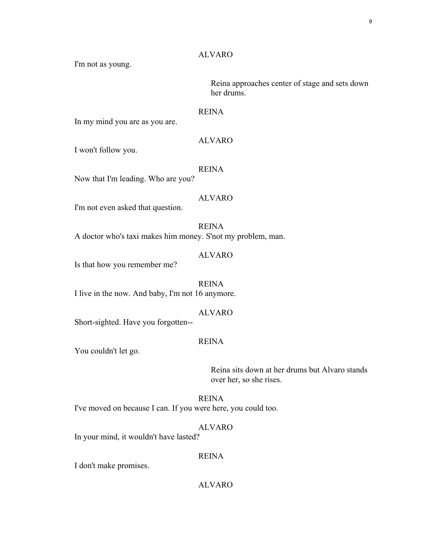## ALVARO

I'm not as young.

Reina approaches center of stage and sets down her drums.

### REINA

In my mind you are as you are.

### ALVARO

I won't follow you.

#### REINA

Now that I'm leading. Who are you?

## ALVARO

I'm not even asked that question.

REINA A doctor who's taxi makes him money. S'not my problem, man.

#### ALVARO

Is that how you remember me?

REINA I live in the now. And baby, I'm not 16 anymore.

## ALVARO

Short-sighted. Have you forgotten--

## REINA

You couldn't let go.

Reina sits down at her drums but Alvaro stands over her, so she rises.

REINA

I've moved on because I can. If you were here, you could too.

### ALVARO

In your mind, it wouldn't have lasted?

### REINA

I don't make promises.

## ALVARO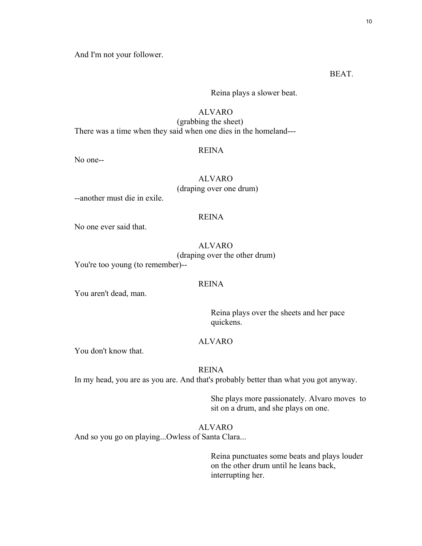And I'm not your follower.

BEAT.

Reina plays a slower beat.

## ALVARO

(grabbing the sheet) There was a time when they said when one dies in the homeland---

#### REINA

No one--

## ALVARO (draping over one drum)

--another must die in exile.

### REINA

No one ever said that.

#### ALVARO

(draping over the other drum)

You're too young (to remember)--

#### REINA

You aren't dead, man.

Reina plays over the sheets and her pace quickens.

## ALVARO

You don't know that.

#### REINA

In my head, you are as you are. And that's probably better than what you got anyway.

She plays more passionately. Alvaro moves to sit on a drum, and she plays on one.

## ALVARO

And so you go on playing...Owless of Santa Clara...

Reina punctuates some beats and plays louder on the other drum until he leans back, interrupting her.